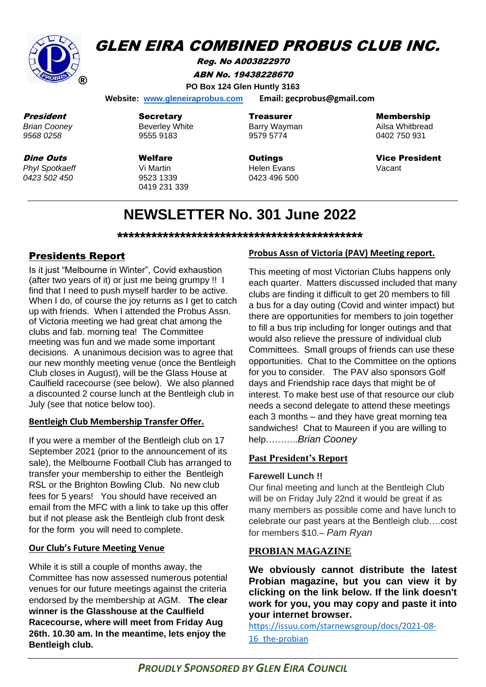

# Mr GLEN EIRA COMBINED PROBUS CLUB INC.

Reg. No A003822970 ABN No. 19438228670 **PO Box 124 Glen Huntly 3163**

 **Website: [www.gleneiraprobus.com](http://www.gleneiraprobus.com/) Email: gecprobus@gmail.com**

President *Brian Cooney 9568 0258*

Dine Outs

*Phyl Spotkaeff 0423 502 450*

**Secretary** Beverley White 9555 9183

Welfare Vi Martin 9523 1339 0419 231 339 **Treasurer** Barry Wayman 9579 5774

**Outings** Helen Evans 0423 496 500 Membership

Ailsa Whitbread 0402 750 931

Vice President Vacant

# **NEWSLETTER No. 301 June 2022**

**\*\*\*\*\*\*\*\*\*\*\*\*\*\*\*\*\*\*\*\*\*\*\*\*\*\*\*\*\*\*\*\*\*\*\*\*\*\*\*\*\*\*\***

# Presidents Report

Is it just "Melbourne in Winter", Covid exhaustion (after two years of it) or just me being grumpy !! I find that I need to push myself harder to be active. When I do, of course the joy returns as I get to catch up with friends. When I attended the Probus Assn. of Victoria meeting we had great chat among the clubs and fab. morning tea! The Committee meeting was fun and we made some important decisions. A unanimous decision was to agree that our new monthly meeting venue (once the Bentleigh Club closes in August), will be the Glass House at Caulfield racecourse (see below). We also planned a discounted 2 course lunch at the Bentleigh club in July (see that notice below too).

#### **Bentleigh Club Membership Transfer Offer.**

If you were a member of the Bentleigh club on 17 September 2021 (prior to the announcement of its sale), the Melbourne Football Club has arranged to transfer your membership to either the Bentleigh RSL or the Brighton Bowling Club. No new club fees for 5 years! You should have received an email from the MFC with a link to take up this offer but if not please ask the Bentleigh club front desk for the form you will need to complete.

#### **Our Club's Future Meeting Venue**

While it is still a couple of months away, the Committee has now assessed numerous potential venues for our future meetings against the criteria endorsed by the membership at AGM. **The clear winner is the Glasshouse at the Caulfield Racecourse, where will meet from Friday Aug 26th. 10.30 am. In the meantime, lets enjoy the Bentleigh club.**

#### **Probus Assn of Victoria (PAV) Meeting report.**

This meeting of most Victorian Clubs happens only each quarter. Matters discussed included that many clubs are finding it difficult to get 20 members to fill a bus for a day outing (Covid and winter impact) but there are opportunities for members to join together to fill a bus trip including for longer outings and that would also relieve the pressure of individual club Committees. Small groups of friends can use these opportunities. Chat to the Committee on the options for you to consider. The PAV also sponsors Golf days and Friendship race days that might be of interest. To make best use of that resource our club needs a second delegate to attend these meetings each 3 months – and they have great morning tea sandwiches! Chat to Maureen if you are willing to help………..*Brian Cooney*

#### **Past President's Report**

#### **Farewell Lunch !!**

Our final meeting and lunch at the Bentleigh Club will be on Friday July 22nd it would be great if as many members as possible come and have lunch to celebrate our past years at the Bentleigh club….cost for members \$10.– *Pam Ryan*

### **PROBIAN MAGAZINE**

**We obviously cannot distribute the latest Probian magazine, but you can view it by clicking on the link below. If the link doesn't work for you, you may copy and paste it into your internet browser.**

[https://issuu.com/starnewsgroup/docs/2021-08-](https://issuu.com/starnewsgroup/docs/2021-08-16_the-probian) 16 the-probian